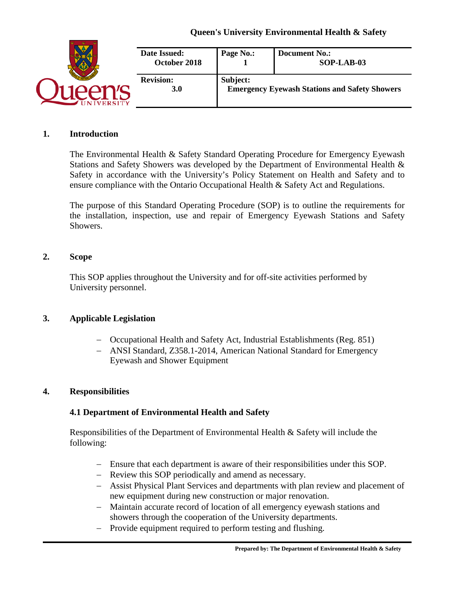

#### **1. Introduction**

The Environmental Health & Safety Standard Operating Procedure for Emergency Eyewash Stations and Safety Showers was developed by the Department of Environmental Health & Safety in accordance with the University's Policy Statement on Health and Safety and to ensure compliance with the Ontario Occupational Health & Safety Act and Regulations.

The purpose of this Standard Operating Procedure (SOP) is to outline the requirements for the installation, inspection, use and repair of Emergency Eyewash Stations and Safety Showers.

#### **2. Scope**

This SOP applies throughout the University and for off-site activities performed by University personnel.

### **3. Applicable Legislation**

- − Occupational Health and Safety Act, Industrial Establishments (Reg. 851)
- − ANSI Standard, Z358.1-2014, American National Standard for Emergency Eyewash and Shower Equipment

#### **4. Responsibilities**

### **4.1 Department of Environmental Health and Safety**

Responsibilities of the Department of Environmental Health & Safety will include the following:

- − Ensure that each department is aware of their responsibilities under this SOP.
- − Review this SOP periodically and amend as necessary.
- − Assist Physical Plant Services and departments with plan review and placement of new equipment during new construction or major renovation.
- − Maintain accurate record of location of all emergency eyewash stations and showers through the cooperation of the University departments.
- − Provide equipment required to perform testing and flushing.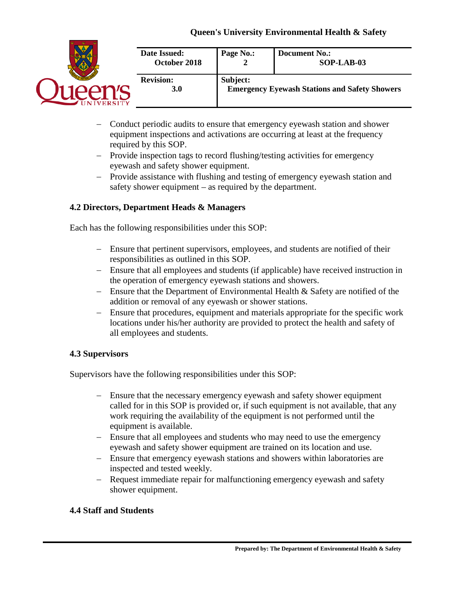

| Date Issued:<br>October 2018 | Page No.:                                            | <b>Document No.:</b><br>SOP-LAB-03 |
|------------------------------|------------------------------------------------------|------------------------------------|
| <b>Revision:</b>             | Subject:                                             |                                    |
| <b>3.0</b>                   | <b>Emergency Eyewash Stations and Safety Showers</b> |                                    |

- − Conduct periodic audits to ensure that emergency eyewash station and shower equipment inspections and activations are occurring at least at the frequency required by this SOP.
- − Provide inspection tags to record flushing/testing activities for emergency eyewash and safety shower equipment.
- − Provide assistance with flushing and testing of emergency eyewash station and safety shower equipment – as required by the department.

### **4.2 Directors, Department Heads & Managers**

Each has the following responsibilities under this SOP:

- − Ensure that pertinent supervisors, employees, and students are notified of their responsibilities as outlined in this SOP.
- − Ensure that all employees and students (if applicable) have received instruction in the operation of emergency eyewash stations and showers.
- − Ensure that the Department of Environmental Health & Safety are notified of the addition or removal of any eyewash or shower stations.
- Ensure that procedures, equipment and materials appropriate for the specific work locations under his/her authority are provided to protect the health and safety of all employees and students.

### **4.3 Supervisors**

Supervisors have the following responsibilities under this SOP:

- − Ensure that the necessary emergency eyewash and safety shower equipment called for in this SOP is provided or, if such equipment is not available, that any work requiring the availability of the equipment is not performed until the equipment is available.
- − Ensure that all employees and students who may need to use the emergency eyewash and safety shower equipment are trained on its location and use.
- − Ensure that emergency eyewash stations and showers within laboratories are inspected and tested weekly.
- Request immediate repair for malfunctioning emergency eyewash and safety shower equipment.

### **4.4 Staff and Students**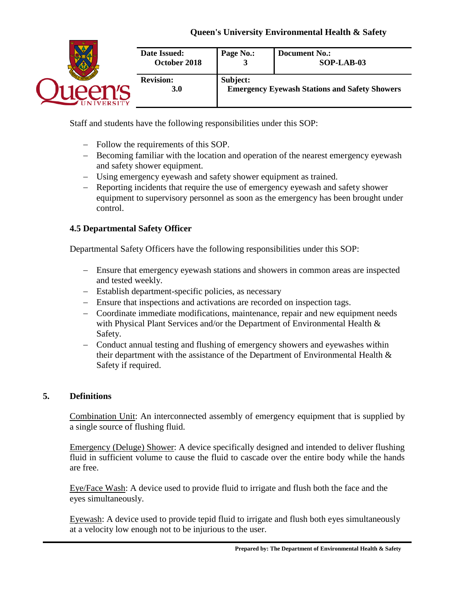

Staff and students have the following responsibilities under this SOP:

- − Follow the requirements of this SOP.
- − Becoming familiar with the location and operation of the nearest emergency eyewash and safety shower equipment.
- − Using emergency eyewash and safety shower equipment as trained.
- Reporting incidents that require the use of emergency eyewash and safety shower equipment to supervisory personnel as soon as the emergency has been brought under control.

### **4.5 Departmental Safety Officer**

Departmental Safety Officers have the following responsibilities under this SOP:

- − Ensure that emergency eyewash stations and showers in common areas are inspected and tested weekly.
- − Establish department-specific policies, as necessary
- − Ensure that inspections and activations are recorded on inspection tags.
- − Coordinate immediate modifications, maintenance, repair and new equipment needs with Physical Plant Services and/or the Department of Environmental Health & Safety.
- − Conduct annual testing and flushing of emergency showers and eyewashes within their department with the assistance of the Department of Environmental Health & Safety if required.

#### **5. Definitions**

Combination Unit: An interconnected assembly of emergency equipment that is supplied by a single source of flushing fluid.

Emergency (Deluge) Shower: A device specifically designed and intended to deliver flushing fluid in sufficient volume to cause the fluid to cascade over the entire body while the hands are free.

Eye/Face Wash: A device used to provide fluid to irrigate and flush both the face and the eyes simultaneously.

Eyewash: A device used to provide tepid fluid to irrigate and flush both eyes simultaneously at a velocity low enough not to be injurious to the user.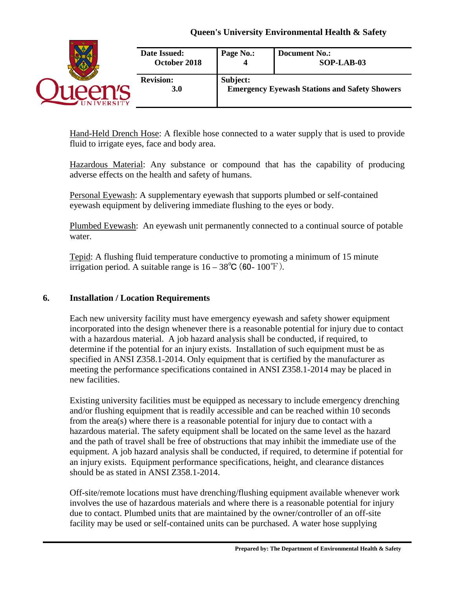| <b>ERSITY</b> | Date Issued:<br>October 2018   | Page No.:                                                        | <b>Document No.:</b><br>SOP-LAB-03 |
|---------------|--------------------------------|------------------------------------------------------------------|------------------------------------|
|               | <b>Revision:</b><br><b>3.0</b> | Subject:<br><b>Emergency Eyewash Stations and Safety Showers</b> |                                    |

Hand-Held Drench Hose: A flexible hose connected to a water supply that is used to provide fluid to irrigate eyes, face and body area.

Hazardous Material: Any substance or compound that has the capability of producing adverse effects on the health and safety of humans.

Personal Eyewash: A supplementary eyewash that supports plumbed or self-contained eyewash equipment by delivering immediate flushing to the eyes or body.

Plumbed Eyewash: An eyewash unit permanently connected to a continual source of potable water.

Tepid: A flushing fluid temperature conductive to promoting a minimum of 15 minute irrigation period. A suitable range is  $16 - 38^{\circ}C$  (60-  $100^{\circ}F$ ).

### **6. Installation / Location Requirements**

Each new university facility must have emergency eyewash and safety shower equipment incorporated into the design whenever there is a reasonable potential for injury due to contact with a hazardous material. A job hazard analysis shall be conducted, if required, to determine if the potential for an injury exists. Installation of such equipment must be as specified in ANSI Z358.1-2014. Only equipment that is certified by the manufacturer as meeting the performance specifications contained in ANSI Z358.1-2014 may be placed in new facilities.

Existing university facilities must be equipped as necessary to include emergency drenching and/or flushing equipment that is readily accessible and can be reached within 10 seconds from the area(s) where there is a reasonable potential for injury due to contact with a hazardous material. The safety equipment shall be located on the same level as the hazard and the path of travel shall be free of obstructions that may inhibit the immediate use of the equipment. A job hazard analysis shall be conducted, if required, to determine if potential for an injury exists. Equipment performance specifications, height, and clearance distances should be as stated in ANSI Z358.1-2014.

Off-site/remote locations must have drenching/flushing equipment available whenever work involves the use of hazardous materials and where there is a reasonable potential for injury due to contact. Plumbed units that are maintained by the owner/controller of an off-site facility may be used or self-contained units can be purchased. A water hose supplying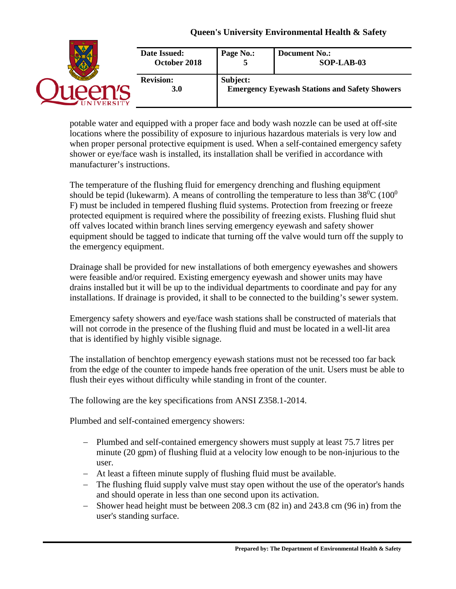| Date Issued:<br>October 2018 | Page No.:                                                        | <b>Document No.:</b><br>SOP-LAB-03 |
|------------------------------|------------------------------------------------------------------|------------------------------------|
| <b>Revision:</b><br>3.0      | Subject:<br><b>Emergency Eyewash Stations and Safety Showers</b> |                                    |

potable water and equipped with a proper face and body wash nozzle can be used at off-site locations where the possibility of exposure to injurious hazardous materials is very low and when proper personal protective equipment is used. When a self-contained emergency safety shower or eye/face wash is installed, its installation shall be verified in accordance with manufacturer's instructions.

The temperature of the flushing fluid for emergency drenching and flushing equipment should be tepid (lukewarm). A means of controlling the temperature to less than  $38^{0}C$  (100<sup>0</sup>) F) must be included in tempered flushing fluid systems. Protection from freezing or freeze protected equipment is required where the possibility of freezing exists. Flushing fluid shut off valves located within branch lines serving emergency eyewash and safety shower equipment should be tagged to indicate that turning off the valve would turn off the supply to the emergency equipment.

Drainage shall be provided for new installations of both emergency eyewashes and showers were feasible and/or required. Existing emergency eyewash and shower units may have drains installed but it will be up to the individual departments to coordinate and pay for any installations. If drainage is provided, it shall to be connected to the building's sewer system.

Emergency safety showers and eye/face wash stations shall be constructed of materials that will not corrode in the presence of the flushing fluid and must be located in a well-lit area that is identified by highly visible signage.

The installation of benchtop emergency eyewash stations must not be recessed too far back from the edge of the counter to impede hands free operation of the unit. Users must be able to flush their eyes without difficulty while standing in front of the counter.

The following are the key specifications from ANSI Z358.1-2014.

Plumbed and self-contained emergency showers:

- − Plumbed and self-contained emergency showers must supply at least 75.7 litres per minute (20 gpm) of flushing fluid at a velocity low enough to be non-injurious to the user.
- − At least a fifteen minute supply of flushing fluid must be available.
- − The flushing fluid supply valve must stay open without the use of the operator's hands and should operate in less than one second upon its activation.
- − Shower head height must be between 208.3 cm (82 in) and 243.8 cm (96 in) from the user's standing surface.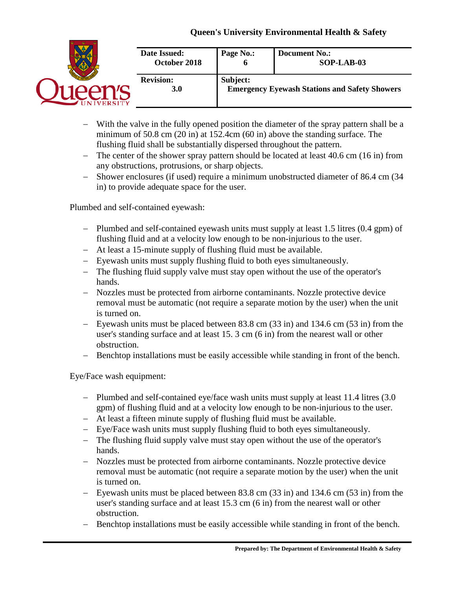

| Date Issued:<br>October 2018 | Page No.:                                            | <b>Document No.:</b><br>SOP-LAB-03 |
|------------------------------|------------------------------------------------------|------------------------------------|
| <b>Revision:</b>             | Subject:                                             |                                    |
| <b>3.0</b>                   | <b>Emergency Eyewash Stations and Safety Showers</b> |                                    |

- With the valve in the fully opened position the diameter of the spray pattern shall be a minimum of 50.8 cm (20 in) at 152.4cm (60 in) above the standing surface. The flushing fluid shall be substantially dispersed throughout the pattern.
- − The center of the shower spray pattern should be located at least 40.6 cm (16 in) from any obstructions, protrusions, or sharp objects.
- − Shower enclosures (if used) require a minimum unobstructed diameter of 86.4 cm (34 in) to provide adequate space for the user.

Plumbed and self-contained eyewash:

- − Plumbed and self-contained eyewash units must supply at least 1.5 litres (0.4 gpm) of flushing fluid and at a velocity low enough to be non-injurious to the user.
- − At least a 15-minute supply of flushing fluid must be available.
- Eyewash units must supply flushing fluid to both eyes simultaneously.
- − The flushing fluid supply valve must stay open without the use of the operator's hands.
- − Nozzles must be protected from airborne contaminants. Nozzle protective device removal must be automatic (not require a separate motion by the user) when the unit is turned on.
- − Eyewash units must be placed between 83.8 cm (33 in) and 134.6 cm (53 in) from the user's standing surface and at least 15. 3 cm (6 in) from the nearest wall or other obstruction.
- − Benchtop installations must be easily accessible while standing in front of the bench.

Eye/Face wash equipment:

- − Plumbed and self-contained eye/face wash units must supply at least 11.4 litres (3.0 gpm) of flushing fluid and at a velocity low enough to be non-injurious to the user.
- − At least a fifteen minute supply of flushing fluid must be available.
- − Eye/Face wash units must supply flushing fluid to both eyes simultaneously.
- − The flushing fluid supply valve must stay open without the use of the operator's hands.
- − Nozzles must be protected from airborne contaminants. Nozzle protective device removal must be automatic (not require a separate motion by the user) when the unit is turned on.
- − Eyewash units must be placed between 83.8 cm (33 in) and 134.6 cm (53 in) from the user's standing surface and at least 15.3 cm (6 in) from the nearest wall or other obstruction.
- Benchtop installations must be easily accessible while standing in front of the bench.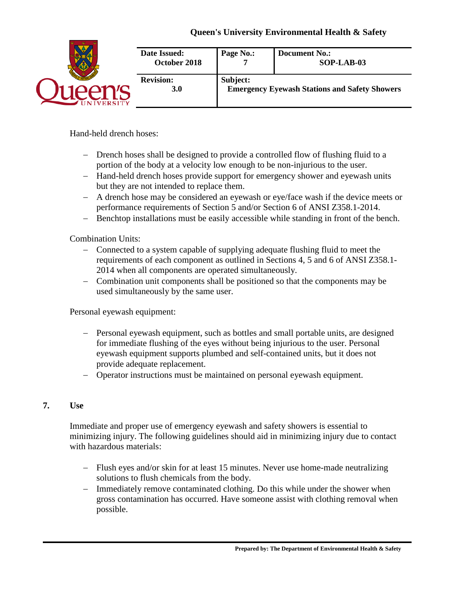

Hand-held drench hoses:

- − Drench hoses shall be designed to provide a controlled flow of flushing fluid to a portion of the body at a velocity low enough to be non-injurious to the user.
- − Hand-held drench hoses provide support for emergency shower and eyewash units but they are not intended to replace them.
- − A drench hose may be considered an eyewash or eye/face wash if the device meets or performance requirements of Section 5 and/or Section 6 of ANSI Z358.1-2014.
- − Benchtop installations must be easily accessible while standing in front of the bench.

Combination Units:

- − Connected to a system capable of supplying adequate flushing fluid to meet the requirements of each component as outlined in Sections 4, 5 and 6 of ANSI Z358.1- 2014 when all components are operated simultaneously.
- − Combination unit components shall be positioned so that the components may be used simultaneously by the same user.

Personal eyewash equipment:

- − Personal eyewash equipment, such as bottles and small portable units, are designed for immediate flushing of the eyes without being injurious to the user. Personal eyewash equipment supports plumbed and self-contained units, but it does not provide adequate replacement.
- − Operator instructions must be maintained on personal eyewash equipment.

#### **7. Use**

Immediate and proper use of emergency eyewash and safety showers is essential to minimizing injury. The following guidelines should aid in minimizing injury due to contact with hazardous materials:

- − Flush eyes and/or skin for at least 15 minutes. Never use home-made neutralizing solutions to flush chemicals from the body.
- − Immediately remove contaminated clothing. Do this while under the shower when gross contamination has occurred. Have someone assist with clothing removal when possible.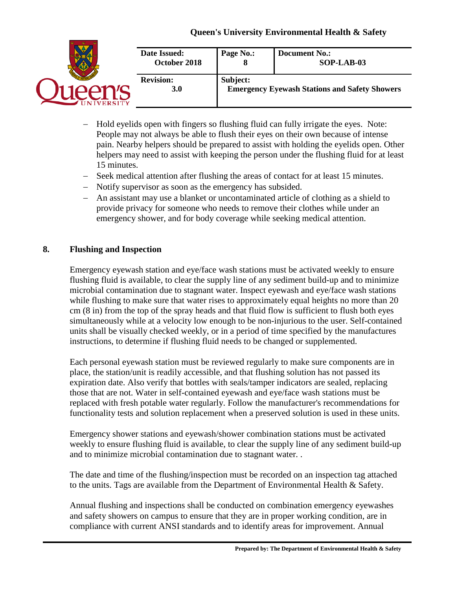

- Hold eyelids open with fingers so flushing fluid can fully irrigate the eyes. Note: People may not always be able to flush their eyes on their own because of intense pain. Nearby helpers should be prepared to assist with holding the eyelids open. Other helpers may need to assist with keeping the person under the flushing fluid for at least 15 minutes.
- − Seek medical attention after flushing the areas of contact for at least 15 minutes.
- − Notify supervisor as soon as the emergency has subsided.
- − An assistant may use a blanket or uncontaminated article of clothing as a shield to provide privacy for someone who needs to remove their clothes while under an emergency shower, and for body coverage while seeking medical attention.

# **8. Flushing and Inspection**

Emergency eyewash station and eye/face wash stations must be activated weekly to ensure flushing fluid is available, to clear the supply line of any sediment build-up and to minimize microbial contamination due to stagnant water. Inspect eyewash and eye/face wash stations while flushing to make sure that water rises to approximately equal heights no more than 20 cm (8 in) from the top of the spray heads and that fluid flow is sufficient to flush both eyes simultaneously while at a velocity low enough to be non-injurious to the user. Self-contained units shall be visually checked weekly, or in a period of time specified by the manufactures instructions, to determine if flushing fluid needs to be changed or supplemented.

Each personal eyewash station must be reviewed regularly to make sure components are in place, the station/unit is readily accessible, and that flushing solution has not passed its expiration date. Also verify that bottles with seals/tamper indicators are sealed, replacing those that are not. Water in self-contained eyewash and eye/face wash stations must be replaced with fresh potable water regularly. Follow the manufacturer's recommendations for functionality tests and solution replacement when a preserved solution is used in these units.

Emergency shower stations and eyewash/shower combination stations must be activated weekly to ensure flushing fluid is available, to clear the supply line of any sediment build-up and to minimize microbial contamination due to stagnant water. .

The date and time of the flushing/inspection must be recorded on an inspection tag attached to the units. Tags are available from the Department of Environmental Health & Safety.

Annual flushing and inspections shall be conducted on combination emergency eyewashes and safety showers on campus to ensure that they are in proper working condition, are in compliance with current ANSI standards and to identify areas for improvement. Annual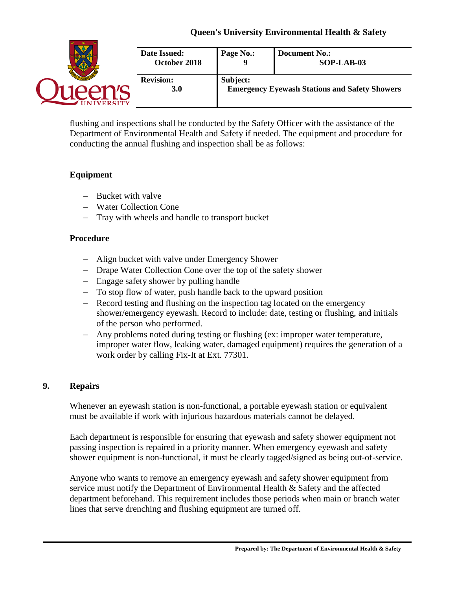

flushing and inspections shall be conducted by the Safety Officer with the assistance of the Department of Environmental Health and Safety if needed. The equipment and procedure for conducting the annual flushing and inspection shall be as follows:

### **Equipment**

- − Bucket with valve
- − Water Collection Cone
- − Tray with wheels and handle to transport bucket

#### **Procedure**

- − Align bucket with valve under Emergency Shower
- − Drape Water Collection Cone over the top of the safety shower
- − Engage safety shower by pulling handle
- − To stop flow of water, push handle back to the upward position
- − Record testing and flushing on the inspection tag located on the emergency shower/emergency eyewash. Record to include: date, testing or flushing, and initials of the person who performed.
- Any problems noted during testing or flushing (ex: improper water temperature, improper water flow, leaking water, damaged equipment) requires the generation of a work order by calling Fix-It at Ext. 77301.

#### **9. Repairs**

Whenever an eyewash station is non-functional, a portable eyewash station or equivalent must be available if work with injurious hazardous materials cannot be delayed.

Each department is responsible for ensuring that eyewash and safety shower equipment not passing inspection is repaired in a priority manner. When emergency eyewash and safety shower equipment is non-functional, it must be clearly tagged/signed as being out-of-service.

Anyone who wants to remove an emergency eyewash and safety shower equipment from service must notify the Department of Environmental Health & Safety and the affected department beforehand. This requirement includes those periods when main or branch water lines that serve drenching and flushing equipment are turned off.